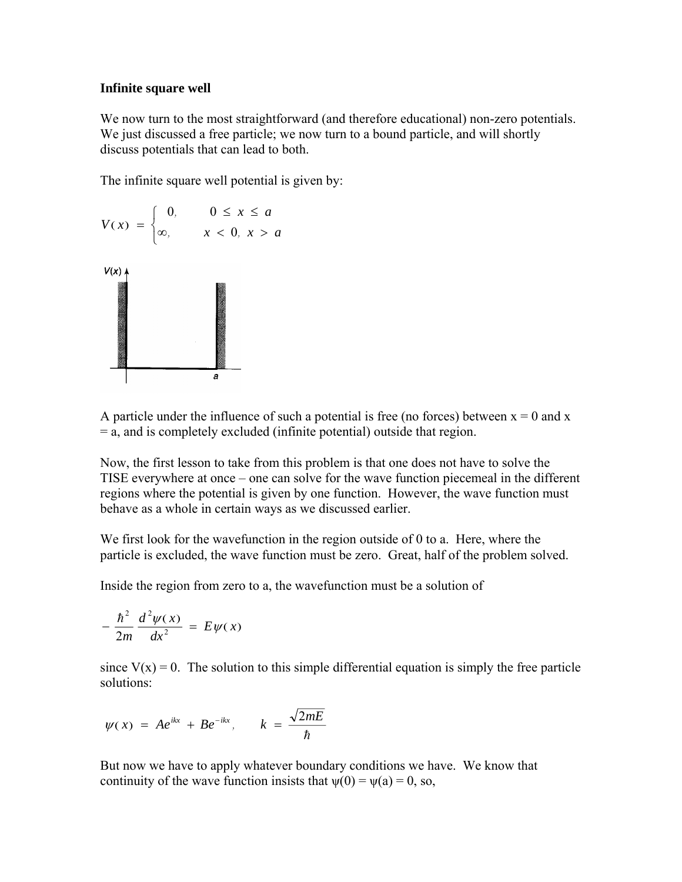## **Infinite square well**

We now turn to the most straightforward (and therefore educational) non-zero potentials. We just discussed a free particle; we now turn to a bound particle, and will shortly discuss potentials that can lead to both.

The infinite square well potential is given by:



A particle under the influence of such a potential is free (no forces) between  $x = 0$  and x = a, and is completely excluded (infinite potential) outside that region.

Now, the first lesson to take from this problem is that one does not have to solve the TISE everywhere at once – one can solve for the wave function piecemeal in the different regions where the potential is given by one function. However, the wave function must behave as a whole in certain ways as we discussed earlier.

We first look for the wavefunction in the region outside of 0 to a. Here, where the particle is excluded, the wave function must be zero. Great, half of the problem solved.

Inside the region from zero to a, the wavefunction must be a solution of

$$
-\frac{\hbar^2}{2m}\frac{d^2\psi(x)}{dx^2}=E\psi(x)
$$

since  $V(x) = 0$ . The solution to this simple differential equation is simply the free particle solutions:

$$
\psi(x) = Ae^{ikx} + Be^{-ikx}, \qquad k = \frac{\sqrt{2mE}}{\hbar}
$$

But now we have to apply whatever boundary conditions we have. We know that continuity of the wave function insists that  $\psi(0) = \psi(a) = 0$ , so,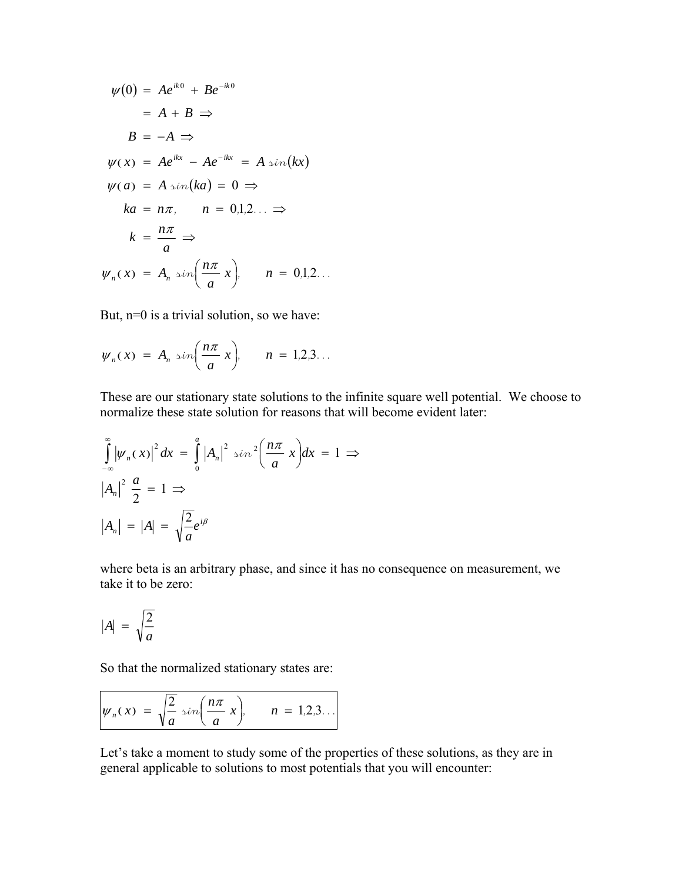$$
\psi(0) = Ae^{ik0} + Be^{-ik0}
$$
  
\n
$$
= A + B \Rightarrow
$$
  
\n
$$
B = -A \Rightarrow
$$
  
\n
$$
\psi(x) = Ae^{ikx} - Ae^{-ikx} = A \sin(kx)
$$
  
\n
$$
\psi(a) = A \sin(ka) = 0 \Rightarrow
$$
  
\n
$$
ka = n\pi, \quad n = 0,1,2... \Rightarrow
$$
  
\n
$$
k = \frac{n\pi}{a} \Rightarrow
$$
  
\n
$$
\psi_n(x) = A_n \sin\left(\frac{n\pi}{a}x\right), \quad n = 0,1,2...
$$

But, n=0 is a trivial solution, so we have:

$$
\psi_n(x) = A_n \sin\left(\frac{n\pi}{a}x\right), \qquad n = 1, 2, 3 \ldots
$$

These are our stationary state solutions to the infinite square well potential. We choose to normalize these state solution for reasons that will become evident later:

$$
\int_{-\infty}^{\infty} |\psi_n(x)|^2 dx = \int_{0}^{a} |A_n|^2 \sin^2\left(\frac{n\pi}{a}x\right) dx = 1 \implies
$$
  

$$
|A_n|^2 \frac{a}{2} = 1 \implies
$$
  

$$
|A_n| = |A| = \sqrt{\frac{2}{a}} e^{i\beta}
$$

where beta is an arbitrary phase, and since it has no consequence on measurement, we take it to be zero:

$$
|A| = \sqrt{\frac{2}{a}}
$$

So that the normalized stationary states are:

$$
\psi_n(x) = \sqrt{\frac{2}{a}} \sin\left(\frac{n\pi}{a}x\right), \qquad n = 1, 2, 3 \dots
$$

Let's take a moment to study some of the properties of these solutions, as they are in general applicable to solutions to most potentials that you will encounter: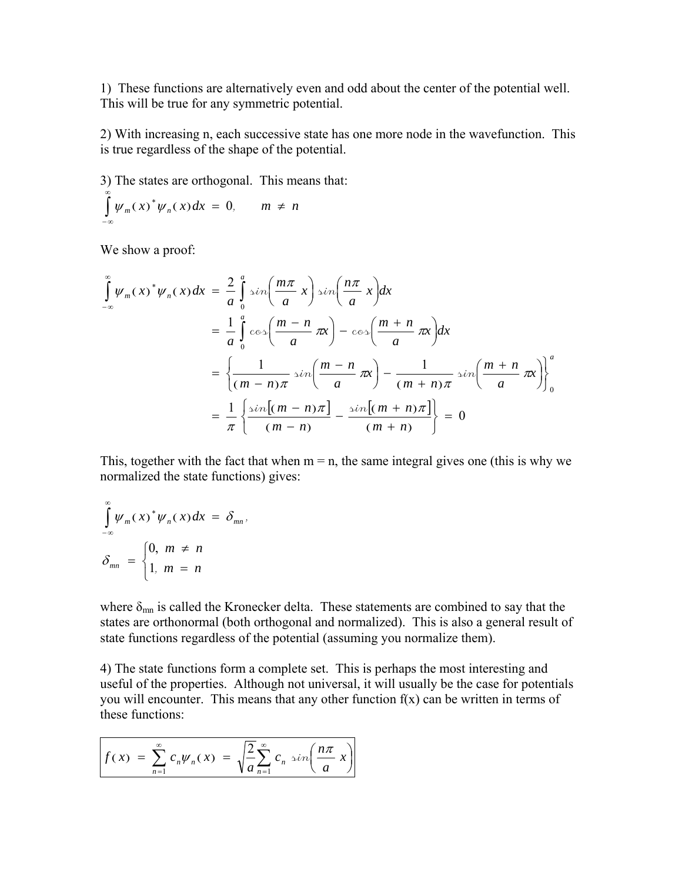1) These functions are alternatively even and odd about the center of the potential well. This will be true for any symmetric potential.

2) With increasing n, each successive state has one more node in the wavefunction. This is true regardless of the shape of the potential.

3) The states are orthogonal. This means that:  $\int \psi_m(x)^* \psi_n(x) dx = 0, \qquad m \neq n$ ∞ − ∞  $\psi_m(x)^* \psi_n(x) dx = 0,$ 

We show a proof:

$$
\int_{-\infty}^{\infty} \psi_m(x)^* \psi_n(x) dx = \frac{2}{a} \int_0^a \sin\left(\frac{m\pi}{a}x\right) \sin\left(\frac{n\pi}{a}x\right) dx
$$
  
\n
$$
= \frac{1}{a} \int_0^a \cos\left(\frac{m-n}{a}\pi x\right) - \cos\left(\frac{m+n}{a}\pi x\right) dx
$$
  
\n
$$
= \left\{\frac{1}{(m-n)\pi} \sin\left(\frac{m-n}{a}\pi x\right) - \frac{1}{(m+n)\pi} \sin\left(\frac{m+n}{a}\pi x\right)\right\}_0^a
$$
  
\n
$$
= \frac{1}{\pi} \left\{\frac{\sin[(m-n)\pi]}{(m-n)} - \frac{\sin[(m+n)\pi]}{(m+n)}\right\} = 0
$$

This, together with the fact that when  $m = n$ , the same integral gives one (this is why we normalized the state functions) gives:

$$
\int_{-\infty}^{\infty} \psi_m(x)^* \psi_n(x) dx = \delta_{mn},
$$
  

$$
\delta_{mn} = \begin{cases} 0, & m \neq n \\ 1, & m = n \end{cases}
$$

where  $\delta_{mn}$  is called the Kronecker delta. These statements are combined to say that the states are orthonormal (both orthogonal and normalized). This is also a general result of state functions regardless of the potential (assuming you normalize them).

4) The state functions form a complete set. This is perhaps the most interesting and useful of the properties. Although not universal, it will usually be the case for potentials you will encounter. This means that any other function  $f(x)$  can be written in terms of these functions:

$$
f(x) = \sum_{n=1}^{\infty} c_n \psi_n(x) = \sqrt{\frac{2}{a}} \sum_{n=1}^{\infty} c_n \sin\left(\frac{n\pi}{a}x\right)
$$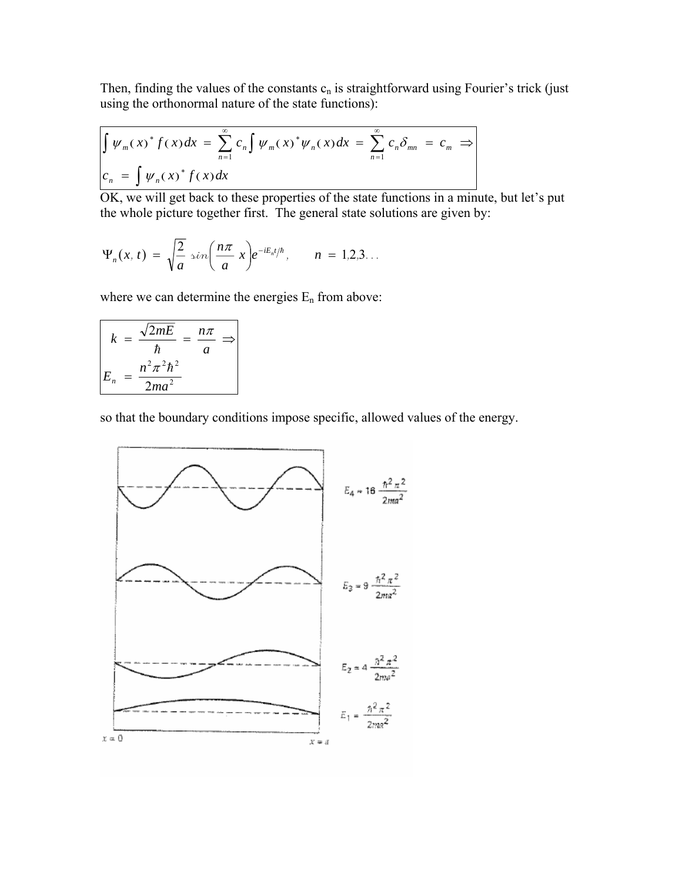Then, finding the values of the constants  $c_n$  is straightforward using Fourier's trick (just using the orthonormal nature of the state functions):

$$
\int \psi_m(x)^* f(x) dx = \sum_{n=1}^{\infty} c_n \int \psi_m(x)^* \psi_n(x) dx = \sum_{n=1}^{\infty} c_n \delta_{mn} = c_m \Rightarrow
$$
  

$$
c_n = \int \psi_n(x)^* f(x) dx
$$

OK, we will get back to these properties of the state functions in a minute, but let's put the whole picture together first. The general state solutions are given by:

$$
\Psi_n(x,t)=\sqrt{\frac{2}{a}}\sin\left(\frac{n\pi}{a}x\right)e^{-iE_nt/\hbar},\qquad n=1,2,3...
$$

where we can determine the energies  $E_n$  from above:

$$
k = \frac{\sqrt{2mE}}{\hbar} = \frac{n\pi}{a} \Rightarrow
$$

$$
E_n = \frac{n^2\pi^2\hbar^2}{2ma^2}
$$

so that the boundary conditions impose specific, allowed values of the energy.

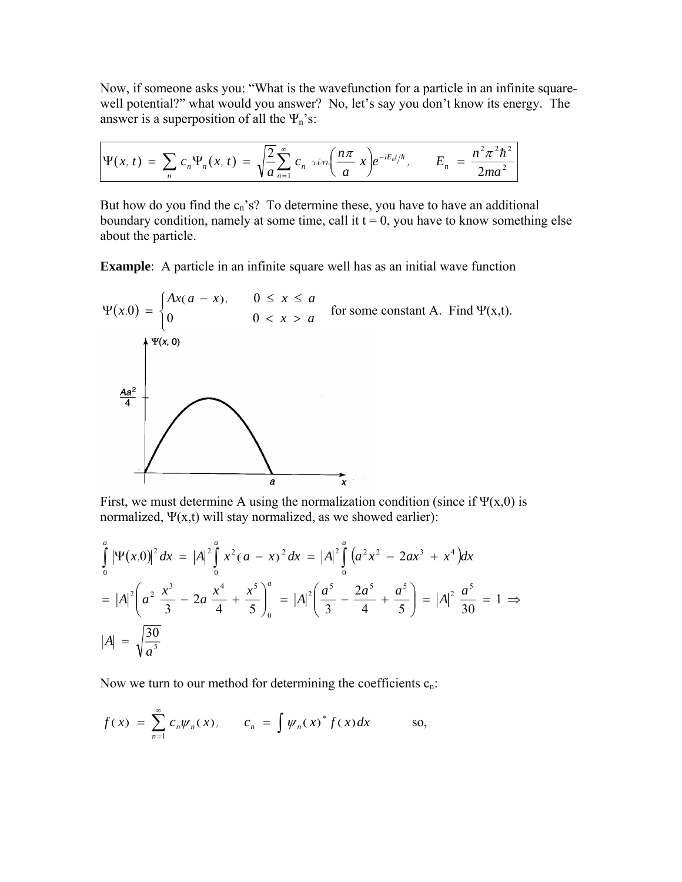Now, if someone asks you: "What is the wavefunction for a particle in an infinite squarewell potential?" what would you answer? No, let's say you don't know its energy. The answer is a superposition of all the  $\Psi_n$ 's:

$$
\Psi(x,t) = \sum_{n} c_n \Psi_n(x,t) = \sqrt{\frac{2}{a}} \sum_{n=1}^{\infty} c_n \sin\left(\frac{n\pi}{a}x\right) e^{-iE_n t/\hbar}, \qquad E_n = \frac{n^2 \pi^2 \hbar^2}{2ma^2}
$$

But how do you find the  $c_n$ 's? To determine these, you have to have an additional boundary condition, namely at some time, call it  $t = 0$ , you have to know something else about the particle.

**Example**: A particle in an infinite square well has as an initial wave function



First, we must determine A using the normalization condition (since if  $\Psi(x,0)$  is normalized,  $\Psi(x,t)$  will stay normalized, as we showed earlier):

$$
\int_{0}^{a} |\Psi(x,0)|^{2} dx = |A|^{2} \int_{0}^{a} x^{2} (a - x)^{2} dx = |A|^{2} \int_{0}^{a} (a^{2}x^{2} - 2ax^{3} + x^{4}) dx
$$
  
=  $|A|^{2} \left(a^{2} \frac{x^{3}}{3} - 2a \frac{x^{4}}{4} + \frac{x^{5}}{5}\right)_{0}^{a} = |A|^{2} \left(\frac{a^{5}}{3} - \frac{2a^{5}}{4} + \frac{a^{5}}{5}\right) = |A|^{2} \frac{a^{5}}{30} = 1 \implies |A| = \sqrt{\frac{30}{a^{5}}}$ 

Now we turn to our method for determining the coefficients  $c_n$ .

$$
f(x) = \sum_{n=1}^{\infty} c_n \psi_n(x), \qquad c_n = \int \psi_n(x)^* f(x) dx \qquad \text{so,}
$$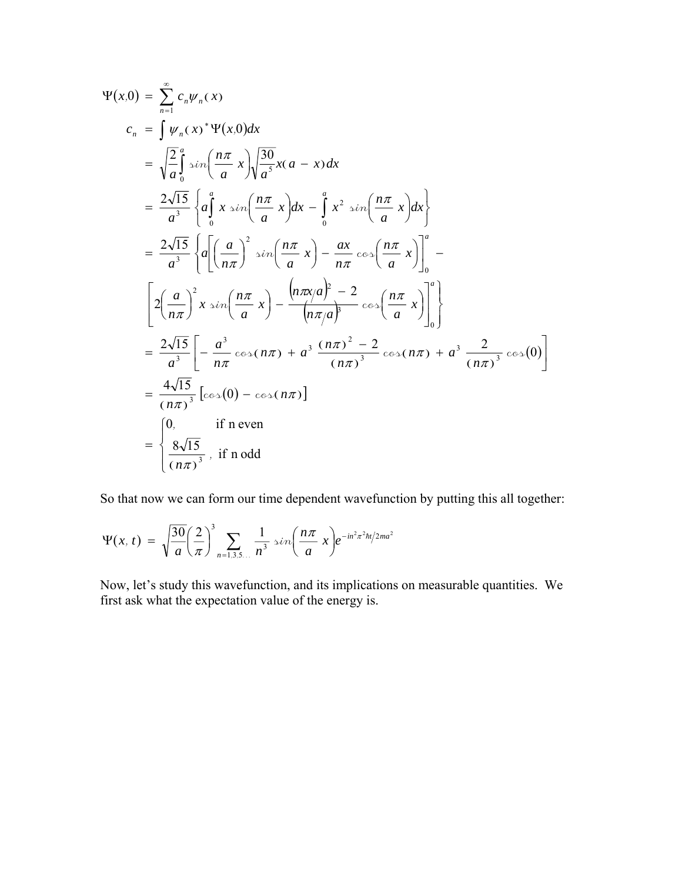$$
\Psi(x,0) = \sum_{n=1}^{\infty} c_n \psi_n(x)
$$
\n
$$
c_n = \int \psi_n(x)^* \Psi(x,0) dx
$$
\n
$$
= \sqrt{\frac{2}{a}} \int_0^a \sin\left(\frac{n\pi}{a}x\right) \sqrt{\frac{30}{a^5}} x(a-x) dx
$$
\n
$$
= \frac{2\sqrt{15}}{a^3} \left\{ a \int_0^a x \sin\left(\frac{n\pi}{a}x\right) dx - \int_0^a x^2 \sin\left(\frac{n\pi}{a}x\right) dx \right\}
$$
\n
$$
= \frac{2\sqrt{15}}{a^3} \left\{ a \left[ \left( \frac{a}{n\pi} \right)^2 \sin\left(\frac{n\pi}{a}x\right) - \frac{ax}{n\pi} \cos\left(\frac{n\pi}{a}x\right) \right]_0^a - \left[ 2 \left( \frac{a}{n\pi} \right)^2 x \sin\left(\frac{n\pi}{a}x\right) - \frac{\left( n\pi x/a \right)^2 - 2}{\left( n\pi/a \right)^3} \cos\left(\frac{n\pi}{a}x\right) \right]_0^a \right\}
$$
\n
$$
= \frac{2\sqrt{15}}{a^3} \left[ -\frac{a^3}{n\pi} \cos(n\pi) + a^3 \frac{(n\pi)^2 - 2}{(n\pi)^3} \cos(n\pi) + a^3 \frac{2}{(n\pi)^3} \cos(0) \right]
$$
\n
$$
= \frac{4\sqrt{15}}{(n\pi)^3} \left[ \cos(0) - \cos(n\pi) \right]
$$
\n
$$
= \begin{cases} 0, & \text{if } n \text{ even} \\ \frac{8\sqrt{15}}{(n\pi)^3}, & \text{if } n \text{ odd} \end{cases}
$$

So that now we can form our time dependent wavefunction by putting this all together:

$$
\Psi(x, t) = \sqrt{\frac{30}{a}} \left(\frac{2}{\pi}\right)^3 \sum_{n=1,3,5...} \frac{1}{n^3} \sin \left(\frac{n\pi}{a} x\right) e^{-in^2 \pi^2 \hbar t/2m a^2}
$$

Now, let's study this wavefunction, and its implications on measurable quantities. We first ask what the expectation value of the energy is.